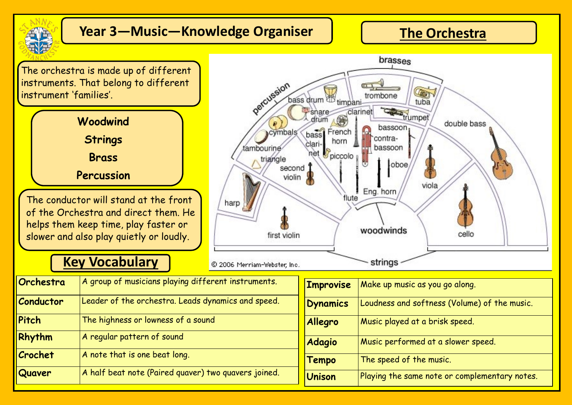

## **Year 3—Music—Knowledge Organiser**

#### **The Orchestra**

The orchestra is made up of different instruments. That belong to different instrument 'families'.



of the Orchestra and direct them. He helps them keep time, play faster or slower and also play quietly or loudly.

#### **Key Vocabulary**



| Orchestra        | A group of musicians playing different instruments.  |
|------------------|------------------------------------------------------|
| <b>Conductor</b> | Leader of the orchestra. Leads dynamics and speed.   |
| Pitch            | The highness or lowness of a sound                   |
| Rhythm           | A regular pattern of sound                           |
| Crochet          | A note that is one beat long.                        |
| Quaver           | A half beat note (Paired quaver) two quavers joined. |

| <b>Improvise</b> | Make up music as you go along.                |
|------------------|-----------------------------------------------|
| <b>Dynamics</b>  | Loudness and softness (Volume) of the music.  |
| Allegro          | Music played at a brisk speed.                |
| <b>Adagio</b>    | Music performed at a slower speed.            |
| Tempo            | The speed of the music.                       |
| <b>Unison</b>    | Playing the same note or complementary notes. |